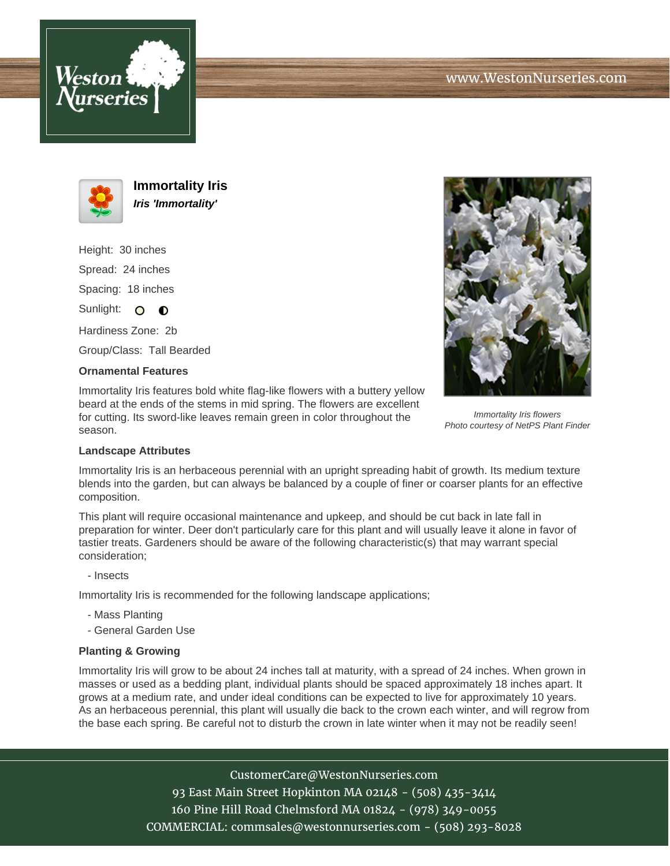



**Immortality Iris Iris 'Immortality'**

Height: 30 inches Spread: 24 inches Spacing: 18 inches Sunlight: O **O** 

Hardiness Zone: 2b

Group/Class: Tall Bearded

## **Ornamental Features**

Immortality Iris features bold white flag-like flowers with a buttery yellow beard at the ends of the stems in mid spring. The flowers are excellent for cutting. Its sword-like leaves remain green in color throughout the season.



Immortality Iris flowers Photo courtesy of NetPS Plant Finder

## **Landscape Attributes**

Immortality Iris is an herbaceous perennial with an upright spreading habit of growth. Its medium texture blends into the garden, but can always be balanced by a couple of finer or coarser plants for an effective composition.

This plant will require occasional maintenance and upkeep, and should be cut back in late fall in preparation for winter. Deer don't particularly care for this plant and will usually leave it alone in favor of tastier treats. Gardeners should be aware of the following characteristic(s) that may warrant special consideration;

- Insects

Immortality Iris is recommended for the following landscape applications;

- Mass Planting
- General Garden Use

## **Planting & Growing**

Immortality Iris will grow to be about 24 inches tall at maturity, with a spread of 24 inches. When grown in masses or used as a bedding plant, individual plants should be spaced approximately 18 inches apart. It grows at a medium rate, and under ideal conditions can be expected to live for approximately 10 years. As an herbaceous perennial, this plant will usually die back to the crown each winter, and will regrow from the base each spring. Be careful not to disturb the crown in late winter when it may not be readily seen!

> CustomerCare@WestonNurseries.com 93 East Main Street Hopkinton MA 02148 - (508) 435-3414 160 Pine Hill Road Chelmsford MA 01824 - (978) 349-0055 COMMERCIAL: commsales@westonnurseries.com - (508) 293-8028